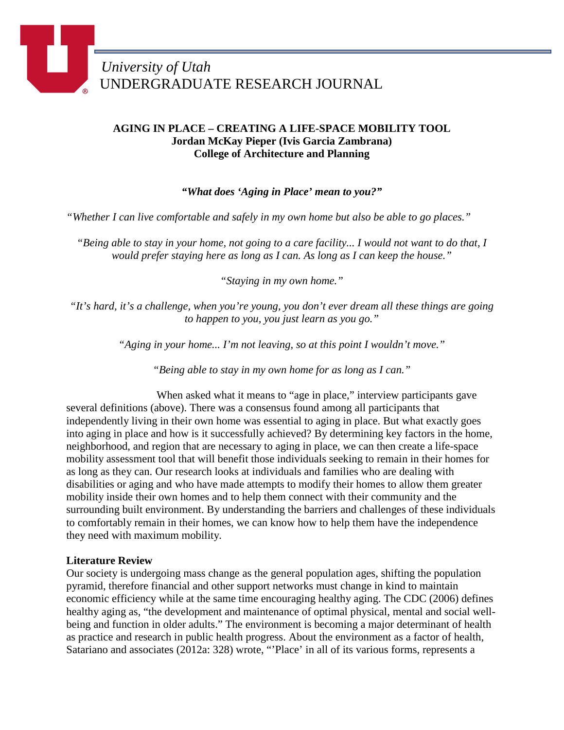# **AGING IN PLACE – CREATING A LIFE-SPACE MOBILITY TOOL Jordan McKay Pieper (Ivis Garcia Zambrana) College of Architecture and Planning**

*"What does 'Aging in Place' mean to you?"*

*"Whether I can live comfortable and safely in my own home but also be able to go places."*

*"Being able to stay in your home, not going to a care facility... I would not want to do that, I would prefer staying here as long as I can. As long as I can keep the house."*

*"Staying in my own home."*

*"It's hard, it's a challenge, when you're young, you don't ever dream all these things are going to happen to you, you just learn as you go."*

*"Aging in your home... I'm not leaving, so at this point I wouldn't move."*

*"Being able to stay in my own home for as long as I can."*

When asked what it means to "age in place," interview participants gave several definitions (above). There was a consensus found among all participants that independently living in their own home was essential to aging in place. But what exactly goes into aging in place and how is it successfully achieved? By determining key factors in the home, neighborhood, and region that are necessary to aging in place, we can then create a life-space mobility assessment tool that will benefit those individuals seeking to remain in their homes for as long as they can. Our research looks at individuals and families who are dealing with disabilities or aging and who have made attempts to modify their homes to allow them greater mobility inside their own homes and to help them connect with their community and the surrounding built environment. By understanding the barriers and challenges of these individuals to comfortably remain in their homes, we can know how to help them have the independence they need with maximum mobility.

# **Literature Review**

Our society is undergoing mass change as the general population ages, shifting the population pyramid, therefore financial and other support networks must change in kind to maintain economic efficiency while at the same time encouraging healthy aging. The CDC (2006) defines healthy aging as, "the development and maintenance of optimal physical, mental and social wellbeing and function in older adults." The environment is becoming a major determinant of health as practice and research in public health progress. About the environment as a factor of health, Satariano and associates (2012a: 328) wrote, "'Place' in all of its various forms, represents a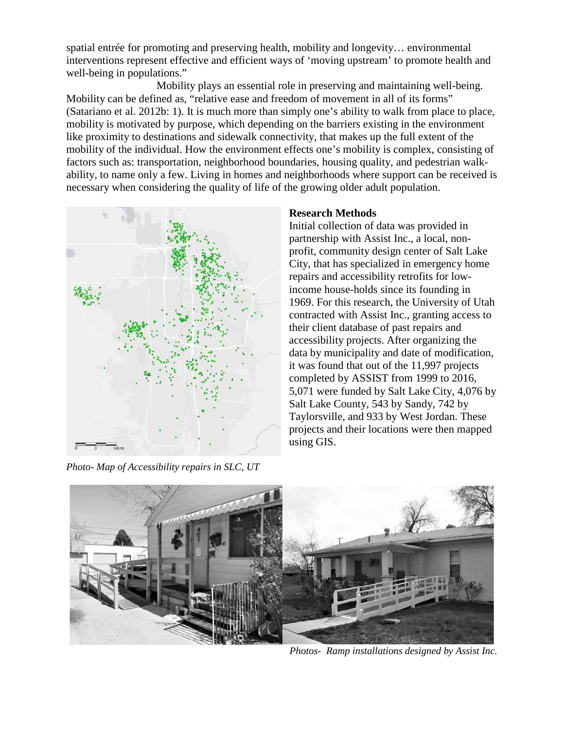spatial entrée for promoting and preserving health, mobility and longevity… environmental interventions represent effective and efficient ways of 'moving upstream' to promote health and well-being in populations."

Mobility plays an essential role in preserving and maintaining well-being. Mobility can be defined as, "relative ease and freedom of movement in all of its forms" (Satariano et al. 2012b: 1). It is much more than simply one's ability to walk from place to place, mobility is motivated by purpose, which depending on the barriers existing in the environment like proximity to destinations and sidewalk connectivity, that makes up the full extent of the mobility of the individual. How the environment effects one's mobility is complex, consisting of factors such as: transportation, neighborhood boundaries, housing quality, and pedestrian walkability, to name only a few. Living in homes and neighborhoods where support can be received is necessary when considering the quality of life of the growing older adult population.



*Photo- Map of Accessibility repairs in SLC, UT*

## **Research Methods**

Initial collection of data was provided in partnership with Assist Inc., a local, nonprofit, community design center of Salt Lake City, that has specialized in emergency home repairs and accessibility retrofits for lowincome house-holds since its founding in 1969. For this research, the University of Utah contracted with Assist Inc., granting access to their client database of past repairs and accessibility projects. After organizing the data by municipality and date of modification, it was found that out of the 11,997 projects completed by ASSIST from 1999 to 2016, 5,071 were funded by Salt Lake City, 4,076 by Salt Lake County, 543 by Sandy, 742 by Taylorsville, and 933 by West Jordan. These projects and their locations were then mapped using GIS.



*Photos- Ramp installations designed by Assist Inc.*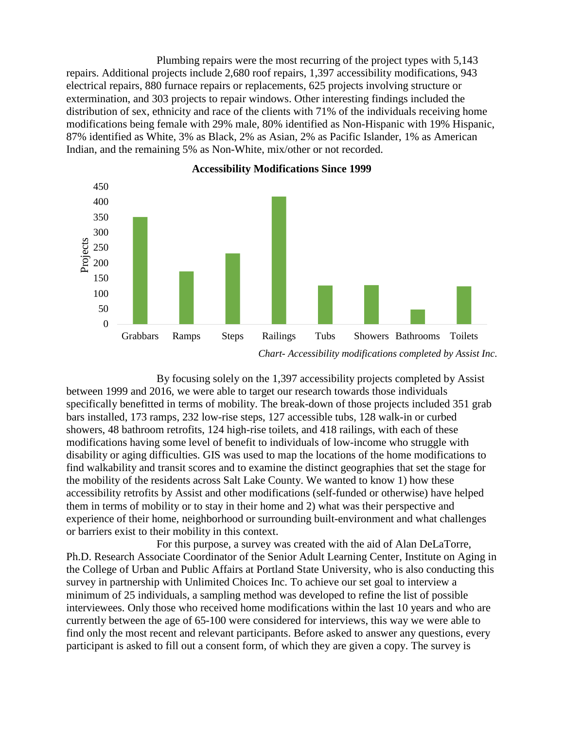Plumbing repairs were the most recurring of the project types with 5,143 repairs. Additional projects include 2,680 roof repairs, 1,397 accessibility modifications, 943 electrical repairs, 880 furnace repairs or replacements, 625 projects involving structure or extermination, and 303 projects to repair windows. Other interesting findings included the distribution of sex, ethnicity and race of the clients with 71% of the individuals receiving home modifications being female with 29% male, 80% identified as Non-Hispanic with 19% Hispanic, 87% identified as White, 3% as Black, 2% as Asian, 2% as Pacific Islander, 1% as American Indian, and the remaining 5% as Non-White, mix/other or not recorded.



**Accessibility Modifications Since 1999**

By focusing solely on the 1,397 accessibility projects completed by Assist between 1999 and 2016, we were able to target our research towards those individuals specifically benefitted in terms of mobility. The break-down of those projects included 351 grab bars installed, 173 ramps, 232 low-rise steps, 127 accessible tubs, 128 walk-in or curbed showers, 48 bathroom retrofits, 124 high-rise toilets, and 418 railings, with each of these modifications having some level of benefit to individuals of low-income who struggle with disability or aging difficulties. GIS was used to map the locations of the home modifications to find walkability and transit scores and to examine the distinct geographies that set the stage for the mobility of the residents across Salt Lake County. We wanted to know 1) how these accessibility retrofits by Assist and other modifications (self-funded or otherwise) have helped them in terms of mobility or to stay in their home and 2) what was their perspective and experience of their home, neighborhood or surrounding built-environment and what challenges or barriers exist to their mobility in this context.

For this purpose, a survey was created with the aid of Alan DeLaTorre, Ph.D. Research Associate Coordinator of the Senior Adult Learning Center, Institute on Aging in the College of Urban and Public Affairs at Portland State University, who is also conducting this survey in partnership with Unlimited Choices Inc. To achieve our set goal to interview a minimum of 25 individuals, a sampling method was developed to refine the list of possible interviewees. Only those who received home modifications within the last 10 years and who are currently between the age of 65-100 were considered for interviews, this way we were able to find only the most recent and relevant participants. Before asked to answer any questions, every participant is asked to fill out a consent form, of which they are given a copy. The survey is

*Chart- Accessibility modifications completed by Assist Inc.*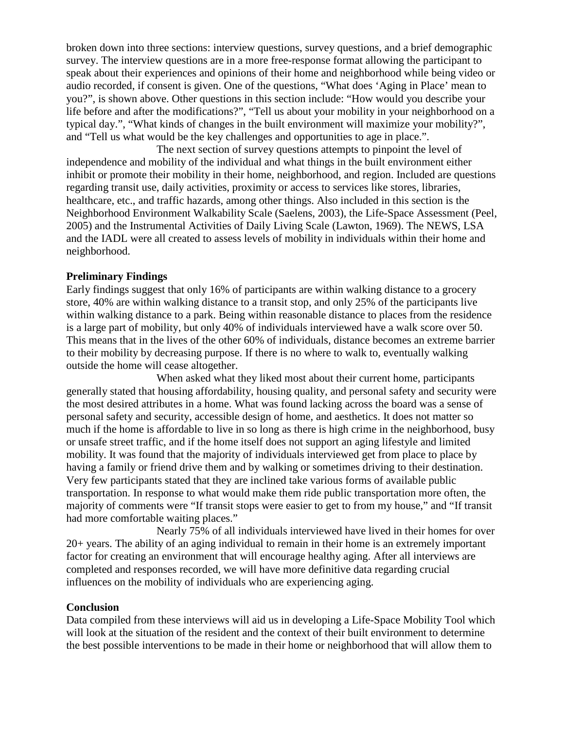broken down into three sections: interview questions, survey questions, and a brief demographic survey. The interview questions are in a more free-response format allowing the participant to speak about their experiences and opinions of their home and neighborhood while being video or audio recorded, if consent is given. One of the questions, "What does 'Aging in Place' mean to you?", is shown above. Other questions in this section include: "How would you describe your life before and after the modifications?", "Tell us about your mobility in your neighborhood on a typical day.", "What kinds of changes in the built environment will maximize your mobility?", and "Tell us what would be the key challenges and opportunities to age in place.".

The next section of survey questions attempts to pinpoint the level of independence and mobility of the individual and what things in the built environment either inhibit or promote their mobility in their home, neighborhood, and region. Included are questions regarding transit use, daily activities, proximity or access to services like stores, libraries, healthcare, etc., and traffic hazards, among other things. Also included in this section is the Neighborhood Environment Walkability Scale (Saelens, 2003), the Life-Space Assessment (Peel, 2005) and the Instrumental Activities of Daily Living Scale (Lawton, 1969). The NEWS, LSA and the IADL were all created to assess levels of mobility in individuals within their home and neighborhood.

### **Preliminary Findings**

Early findings suggest that only 16% of participants are within walking distance to a grocery store, 40% are within walking distance to a transit stop, and only 25% of the participants live within walking distance to a park. Being within reasonable distance to places from the residence is a large part of mobility, but only 40% of individuals interviewed have a walk score over 50. This means that in the lives of the other 60% of individuals, distance becomes an extreme barrier to their mobility by decreasing purpose. If there is no where to walk to, eventually walking outside the home will cease altogether.

When asked what they liked most about their current home, participants generally stated that housing affordability, housing quality, and personal safety and security were the most desired attributes in a home. What was found lacking across the board was a sense of personal safety and security, accessible design of home, and aesthetics. It does not matter so much if the home is affordable to live in so long as there is high crime in the neighborhood, busy or unsafe street traffic, and if the home itself does not support an aging lifestyle and limited mobility. It was found that the majority of individuals interviewed get from place to place by having a family or friend drive them and by walking or sometimes driving to their destination. Very few participants stated that they are inclined take various forms of available public transportation. In response to what would make them ride public transportation more often, the majority of comments were "If transit stops were easier to get to from my house," and "If transit had more comfortable waiting places."

Nearly 75% of all individuals interviewed have lived in their homes for over 20+ years. The ability of an aging individual to remain in their home is an extremely important factor for creating an environment that will encourage healthy aging. After all interviews are completed and responses recorded, we will have more definitive data regarding crucial influences on the mobility of individuals who are experiencing aging.

### **Conclusion**

Data compiled from these interviews will aid us in developing a Life-Space Mobility Tool which will look at the situation of the resident and the context of their built environment to determine the best possible interventions to be made in their home or neighborhood that will allow them to